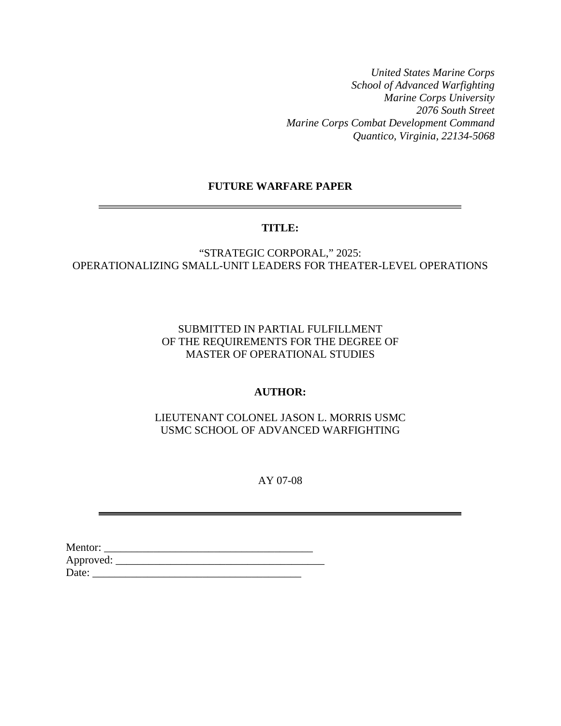*United States Marine Corps School of Advanced Warfighting Marine Corps University 2076 South Street Marine Corps Combat Development Command Quantico, Virginia, 22134-5068* 

# **FUTURE WARFARE PAPER**

# **TITLE:**

"STRATEGIC CORPORAL," 2025: OPERATIONALIZING SMALL-UNIT LEADERS FOR THEATER-LEVEL OPERATIONS

> SUBMITTED IN PARTIAL FULFILLMENT OF THE REQUIREMENTS FOR THE DEGREE OF MASTER OF OPERATIONAL STUDIES

## **AUTHOR:**

LIEUTENANT COLONEL JASON L. MORRIS USMC USMC SCHOOL OF ADVANCED WARFIGHTING

AY 07-08

| Mentor:   |  |
|-----------|--|
| Approved: |  |
| Date:     |  |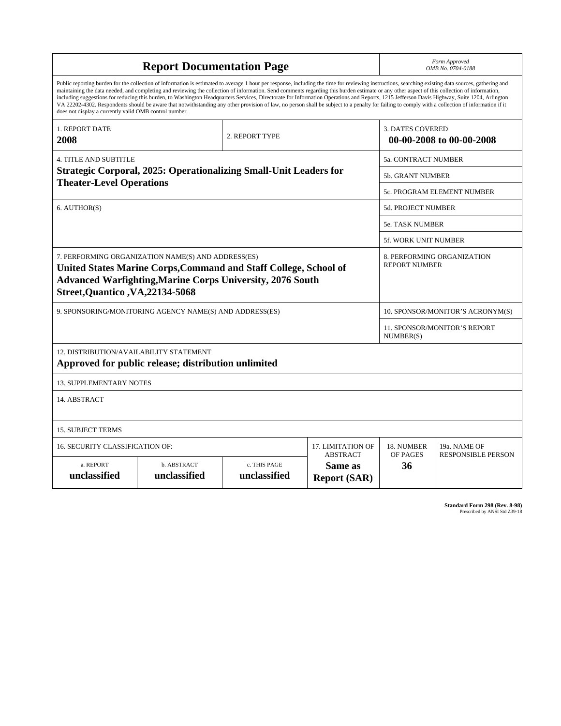| <b>Report Documentation Page</b>                                                                                                                                                                                                                                                                                                                                                                                                                                                                                                                                                                                                                                                                                                                                                                                                                                   |                                                         |                              |                                                   |                                  | Form Approved<br>OMB No. 0704-0188                 |  |  |  |
|--------------------------------------------------------------------------------------------------------------------------------------------------------------------------------------------------------------------------------------------------------------------------------------------------------------------------------------------------------------------------------------------------------------------------------------------------------------------------------------------------------------------------------------------------------------------------------------------------------------------------------------------------------------------------------------------------------------------------------------------------------------------------------------------------------------------------------------------------------------------|---------------------------------------------------------|------------------------------|---------------------------------------------------|----------------------------------|----------------------------------------------------|--|--|--|
| Public reporting burden for the collection of information is estimated to average 1 hour per response, including the time for reviewing instructions, searching existing data sources, gathering and<br>maintaining the data needed, and completing and reviewing the collection of information. Send comments regarding this burden estimate or any other aspect of this collection of information,<br>including suggestions for reducing this burden, to Washington Headquarters Services, Directorate for Information Operations and Reports, 1215 Jefferson Davis Highway, Suite 1204, Arlington<br>VA 22202-4302. Respondents should be aware that notwithstanding any other provision of law, no person shall be subject to a penalty for failing to comply with a collection of information if it<br>does not display a currently valid OMB control number. |                                                         |                              |                                                   |                                  |                                                    |  |  |  |
| <b>1. REPORT DATE</b><br>2008                                                                                                                                                                                                                                                                                                                                                                                                                                                                                                                                                                                                                                                                                                                                                                                                                                      |                                                         | 2. REPORT TYPE               |                                                   | <b>3. DATES COVERED</b>          | 00-00-2008 to 00-00-2008                           |  |  |  |
| <b>4. TITLE AND SUBTITLE</b>                                                                                                                                                                                                                                                                                                                                                                                                                                                                                                                                                                                                                                                                                                                                                                                                                                       |                                                         |                              |                                                   |                                  | 5a. CONTRACT NUMBER                                |  |  |  |
| <b>Strategic Corporal, 2025: Operationalizing Small-Unit Leaders for</b><br><b>Theater-Level Operations</b>                                                                                                                                                                                                                                                                                                                                                                                                                                                                                                                                                                                                                                                                                                                                                        |                                                         |                              |                                                   |                                  | <b>5b. GRANT NUMBER</b>                            |  |  |  |
|                                                                                                                                                                                                                                                                                                                                                                                                                                                                                                                                                                                                                                                                                                                                                                                                                                                                    |                                                         |                              |                                                   |                                  | 5c. PROGRAM ELEMENT NUMBER                         |  |  |  |
| 6. AUTHOR(S)                                                                                                                                                                                                                                                                                                                                                                                                                                                                                                                                                                                                                                                                                                                                                                                                                                                       |                                                         |                              |                                                   |                                  | <b>5d. PROJECT NUMBER</b>                          |  |  |  |
|                                                                                                                                                                                                                                                                                                                                                                                                                                                                                                                                                                                                                                                                                                                                                                                                                                                                    |                                                         |                              |                                                   |                                  | <b>5e. TASK NUMBER</b>                             |  |  |  |
|                                                                                                                                                                                                                                                                                                                                                                                                                                                                                                                                                                                                                                                                                                                                                                                                                                                                    |                                                         |                              |                                                   | <b>5f. WORK UNIT NUMBER</b>      |                                                    |  |  |  |
| 7. PERFORMING ORGANIZATION NAME(S) AND ADDRESS(ES)<br>United States Marine Corps, Command and Staff College, School of<br><b>Advanced Warfighting, Marine Corps University, 2076 South</b><br><b>Street, Quantico, VA, 22134-5068</b>                                                                                                                                                                                                                                                                                                                                                                                                                                                                                                                                                                                                                              |                                                         |                              |                                                   |                                  | 8. PERFORMING ORGANIZATION<br><b>REPORT NUMBER</b> |  |  |  |
|                                                                                                                                                                                                                                                                                                                                                                                                                                                                                                                                                                                                                                                                                                                                                                                                                                                                    | 9. SPONSORING/MONITORING AGENCY NAME(S) AND ADDRESS(ES) |                              |                                                   | 10. SPONSOR/MONITOR'S ACRONYM(S) |                                                    |  |  |  |
|                                                                                                                                                                                                                                                                                                                                                                                                                                                                                                                                                                                                                                                                                                                                                                                                                                                                    |                                                         |                              |                                                   |                                  | 11. SPONSOR/MONITOR'S REPORT<br>NUMBER(S)          |  |  |  |
| <b>12. DISTRIBUTION/AVAILABILITY STATEMENT</b><br>Approved for public release; distribution unlimited                                                                                                                                                                                                                                                                                                                                                                                                                                                                                                                                                                                                                                                                                                                                                              |                                                         |                              |                                                   |                                  |                                                    |  |  |  |
| <b>13. SUPPLEMENTARY NOTES</b>                                                                                                                                                                                                                                                                                                                                                                                                                                                                                                                                                                                                                                                                                                                                                                                                                                     |                                                         |                              |                                                   |                                  |                                                    |  |  |  |
| 14. ABSTRACT                                                                                                                                                                                                                                                                                                                                                                                                                                                                                                                                                                                                                                                                                                                                                                                                                                                       |                                                         |                              |                                                   |                                  |                                                    |  |  |  |
| <b>15. SUBJECT TERMS</b>                                                                                                                                                                                                                                                                                                                                                                                                                                                                                                                                                                                                                                                                                                                                                                                                                                           |                                                         |                              |                                                   |                                  |                                                    |  |  |  |
| 16. SECURITY CLASSIFICATION OF:                                                                                                                                                                                                                                                                                                                                                                                                                                                                                                                                                                                                                                                                                                                                                                                                                                    | 17. LIMITATION OF                                       | 18. NUMBER                   | 19a. NAME OF                                      |                                  |                                                    |  |  |  |
| a. REPORT<br>unclassified                                                                                                                                                                                                                                                                                                                                                                                                                                                                                                                                                                                                                                                                                                                                                                                                                                          | b. ABSTRACT<br>unclassified                             | c. THIS PAGE<br>unclassified | <b>ABSTRACT</b><br>Same as<br><b>Report (SAR)</b> | OF PAGES<br>36                   | <b>RESPONSIBLE PERSON</b>                          |  |  |  |

**Standard Form 298 (Rev. 8-98)**<br>Prescribed by ANSI Std Z39-18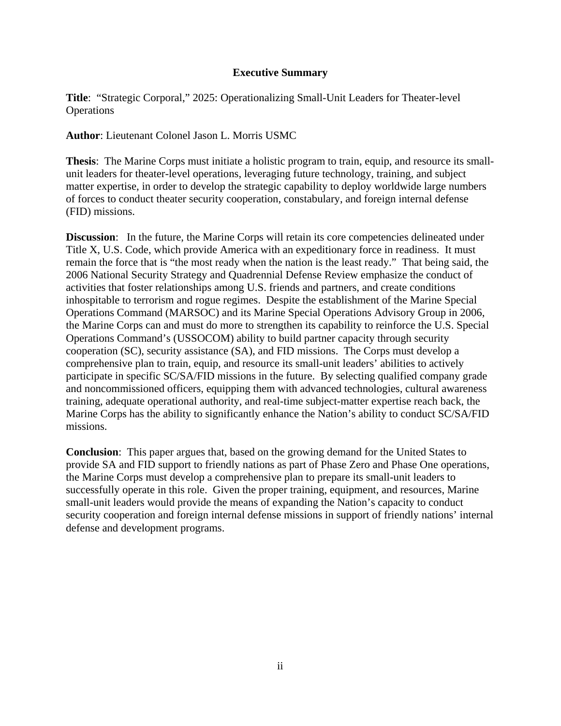# **Executive Summary**

**Title**: "Strategic Corporal," 2025: Operationalizing Small-Unit Leaders for Theater-level **Operations** 

**Author**: Lieutenant Colonel Jason L. Morris USMC

**Thesis**: The Marine Corps must initiate a holistic program to train, equip, and resource its smallunit leaders for theater-level operations, leveraging future technology, training, and subject matter expertise, in order to develop the strategic capability to deploy worldwide large numbers of forces to conduct theater security cooperation, constabulary, and foreign internal defense (FID) missions.

**Discussion:** In the future, the Marine Corps will retain its core competencies delineated under Title X, U.S. Code, which provide America with an expeditionary force in readiness. It must remain the force that is "the most ready when the nation is the least ready." That being said, the 2006 National Security Strategy and Quadrennial Defense Review emphasize the conduct of activities that foster relationships among U.S. friends and partners, and create conditions inhospitable to terrorism and rogue regimes. Despite the establishment of the Marine Special Operations Command (MARSOC) and its Marine Special Operations Advisory Group in 2006, the Marine Corps can and must do more to strengthen its capability to reinforce the U.S. Special Operations Command's (USSOCOM) ability to build partner capacity through security cooperation (SC), security assistance (SA), and FID missions. The Corps must develop a comprehensive plan to train, equip, and resource its small-unit leaders' abilities to actively participate in specific SC/SA/FID missions in the future. By selecting qualified company grade and noncommissioned officers, equipping them with advanced technologies, cultural awareness training, adequate operational authority, and real-time subject-matter expertise reach back, the Marine Corps has the ability to significantly enhance the Nation's ability to conduct SC/SA/FID missions.

**Conclusion**: This paper argues that, based on the growing demand for the United States to provide SA and FID support to friendly nations as part of Phase Zero and Phase One operations, the Marine Corps must develop a comprehensive plan to prepare its small-unit leaders to successfully operate in this role. Given the proper training, equipment, and resources, Marine small-unit leaders would provide the means of expanding the Nation's capacity to conduct security cooperation and foreign internal defense missions in support of friendly nations' internal defense and development programs.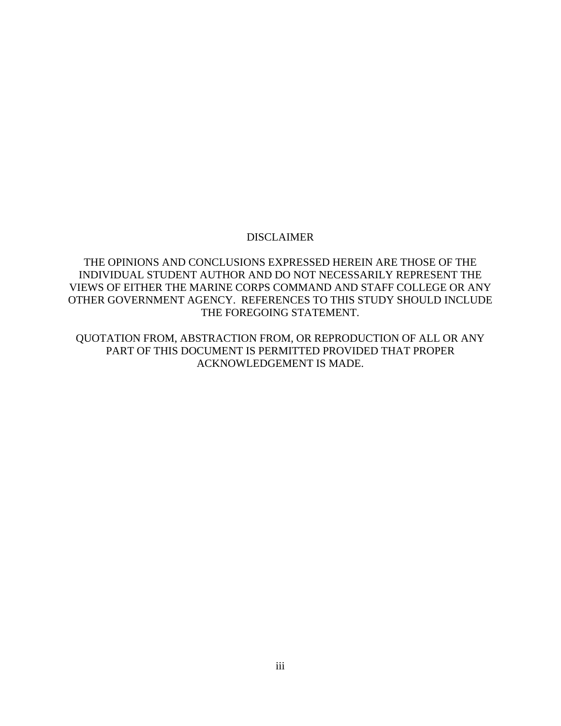# DISCLAIMER

THE OPINIONS AND CONCLUSIONS EXPRESSED HEREIN ARE THOSE OF THE INDIVIDUAL STUDENT AUTHOR AND DO NOT NECESSARILY REPRESENT THE VIEWS OF EITHER THE MARINE CORPS COMMAND AND STAFF COLLEGE OR ANY OTHER GOVERNMENT AGENCY. REFERENCES TO THIS STUDY SHOULD INCLUDE THE FOREGOING STATEMENT.

QUOTATION FROM, ABSTRACTION FROM, OR REPRODUCTION OF ALL OR ANY PART OF THIS DOCUMENT IS PERMITTED PROVIDED THAT PROPER ACKNOWLEDGEMENT IS MADE.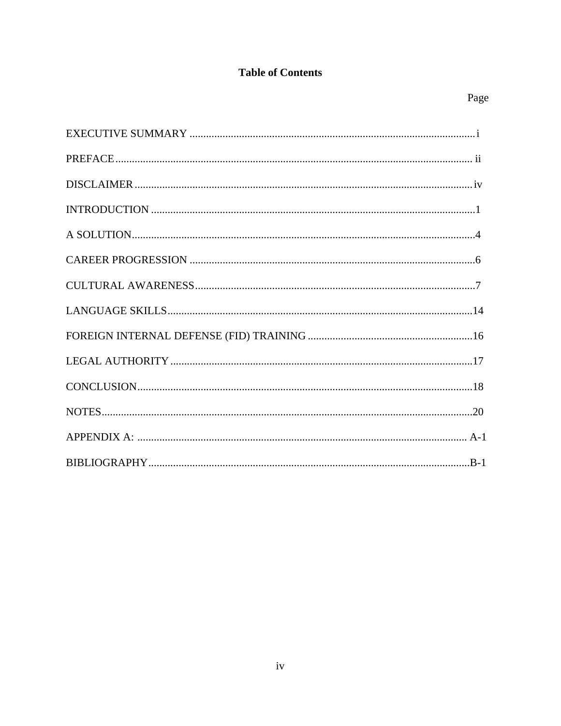# **Table of Contents**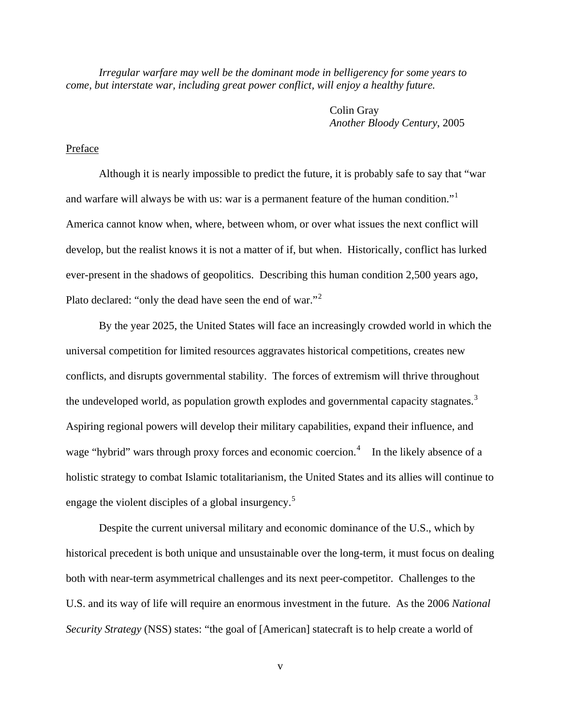*Irregular warfare may well be the dominant mode in belligerency for some years to come, but interstate war, including great power conflict, will enjoy a healthy future.*

> Colin Gray *Another Bloody Century*, 2005

# Preface

 Although it is nearly impossible to predict the future, it is probably safe to say that "war and warfare will always be with us: war is a permanent feature of the human condition."<sup>[1](#page-34-0)</sup> America cannot know when, where, between whom, or over what issues the next conflict will develop, but the realist knows it is not a matter of if, but when. Historically, conflict has lurked ever-present in the shadows of geopolitics. Describing this human condition 2,500 years ago, Plato declared: "only the dead have seen the end of war."[2](#page-34-1)

 By the year 2025, the United States will face an increasingly crowded world in which the universal competition for limited resources aggravates historical competitions, creates new conflicts, and disrupts governmental stability. The forces of extremism will thrive throughout the undeveloped world, as population growth explodes and governmental capacity stagnates.<sup>[3](#page-34-1)</sup> Aspiring regional powers will develop their military capabilities, expand their influence, and wage "hybrid" wars through proxy forces and economic coercion.<sup>[4](#page-34-1)</sup> In the likely absence of a holistic strategy to combat Islamic totalitarianism, the United States and its allies will continue to engage the violent disciples of a global insurgency.<sup>[5](#page-34-1)</sup>

Despite the current universal military and economic dominance of the U.S., which by historical precedent is both unique and unsustainable over the long-term, it must focus on dealing both with near-term asymmetrical challenges and its next peer-competitor. Challenges to the U.S. and its way of life will require an enormous investment in the future. As the 2006 *National Security Strategy* (NSS) states: "the goal of [American] statecraft is to help create a world of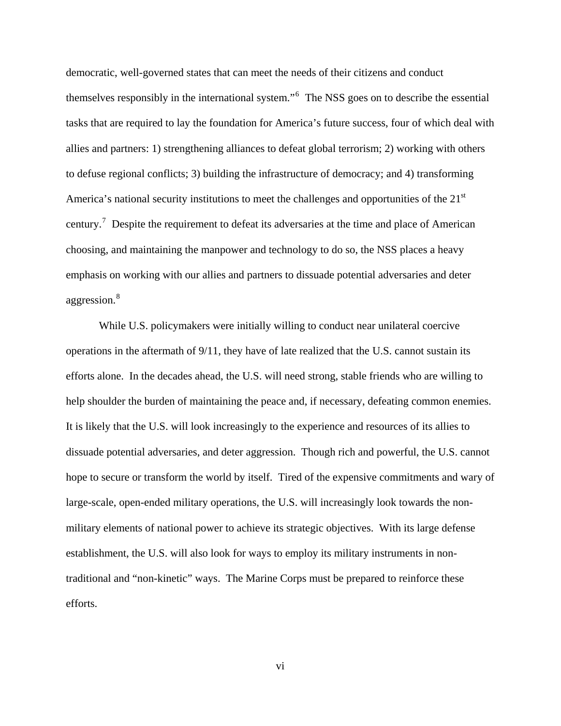democratic, well-governed states that can meet the needs of their citizens and conduct themselves responsibly in the international system."<sup>[6](#page-34-1)</sup> The NSS goes on to describe the essential tasks that are required to lay the foundation for America's future success, four of which deal with allies and partners: 1) strengthening alliances to defeat global terrorism; 2) working with others to defuse regional conflicts; 3) building the infrastructure of democracy; and 4) transforming America's national security institutions to meet the challenges and opportunities of the 21<sup>st</sup> century.<sup>[7](#page-34-1)</sup> Despite the requirement to defeat its adversaries at the time and place of American choosing, and maintaining the manpower and technology to do so, the NSS places a heavy emphasis on working with our allies and partners to dissuade potential adversaries and deter aggression.[8](#page-34-1)

While U.S. policymakers were initially willing to conduct near unilateral coercive operations in the aftermath of 9/11, they have of late realized that the U.S. cannot sustain its efforts alone. In the decades ahead, the U.S. will need strong, stable friends who are willing to help shoulder the burden of maintaining the peace and, if necessary, defeating common enemies. It is likely that the U.S. will look increasingly to the experience and resources of its allies to dissuade potential adversaries, and deter aggression. Though rich and powerful, the U.S. cannot hope to secure or transform the world by itself. Tired of the expensive commitments and wary of large-scale, open-ended military operations, the U.S. will increasingly look towards the nonmilitary elements of national power to achieve its strategic objectives. With its large defense establishment, the U.S. will also look for ways to employ its military instruments in nontraditional and "non-kinetic" ways. The Marine Corps must be prepared to reinforce these efforts.

vi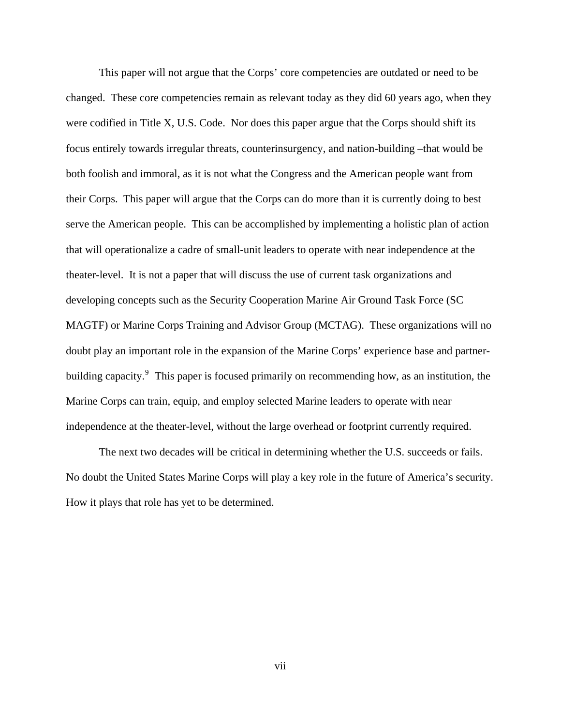This paper will not argue that the Corps' core competencies are outdated or need to be changed. These core competencies remain as relevant today as they did 60 years ago, when they were codified in Title X, U.S. Code. Nor does this paper argue that the Corps should shift its focus entirely towards irregular threats, counterinsurgency, and nation-building –that would be both foolish and immoral, as it is not what the Congress and the American people want from their Corps. This paper will argue that the Corps can do more than it is currently doing to best serve the American people. This can be accomplished by implementing a holistic plan of action that will operationalize a cadre of small-unit leaders to operate with near independence at the theater-level. It is not a paper that will discuss the use of current task organizations and developing concepts such as the Security Cooperation Marine Air Ground Task Force (SC MAGTF) or Marine Corps Training and Advisor Group (MCTAG). These organizations will no doubt play an important role in the expansion of the Marine Corps' experience base and partner-building capacity.<sup>[9](#page-34-1)</sup> This paper is focused primarily on recommending how, as an institution, the Marine Corps can train, equip, and employ selected Marine leaders to operate with near independence at the theater-level, without the large overhead or footprint currently required.

The next two decades will be critical in determining whether the U.S. succeeds or fails. No doubt the United States Marine Corps will play a key role in the future of America's security. How it plays that role has yet to be determined.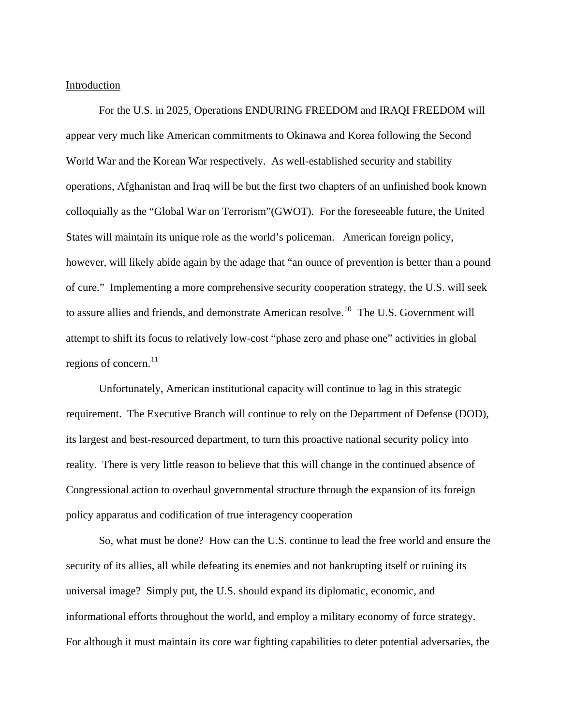### Introduction

For the U.S. in 2025, Operations ENDURING FREEDOM and IRAQI FREEDOM will appear very much like American commitments to Okinawa and Korea following the Second World War and the Korean War respectively. As well-established security and stability operations, Afghanistan and Iraq will be but the first two chapters of an unfinished book known colloquially as the "Global War on Terrorism"(GWOT). For the foreseeable future, the United States will maintain its unique role as the world's policeman. American foreign policy, however, will likely abide again by the adage that "an ounce of prevention is better than a pound of cure." Implementing a more comprehensive security cooperation strategy, the U.S. will seek to assure allies and friends, and demonstrate American resolve.<sup>[10](#page-34-2)</sup> The U.S. Government will attempt to shift its focus to relatively low-cost "phase zero and phase one" activities in global regions of concern. $^{11}$  $^{11}$  $^{11}$ 

Unfortunately, American institutional capacity will continue to lag in this strategic requirement. The Executive Branch will continue to rely on the Department of Defense (DOD), its largest and best-resourced department, to turn this proactive national security policy into reality. There is very little reason to believe that this will change in the continued absence of Congressional action to overhaul governmental structure through the expansion of its foreign policy apparatus and codification of true interagency cooperation

So, what must be done? How can the U.S. continue to lead the free world and ensure the security of its allies, all while defeating its enemies and not bankrupting itself or ruining its universal image? Simply put, the U.S. should expand its diplomatic, economic, and informational efforts throughout the world, and employ a military economy of force strategy. For although it must maintain its core war fighting capabilities to deter potential adversaries, the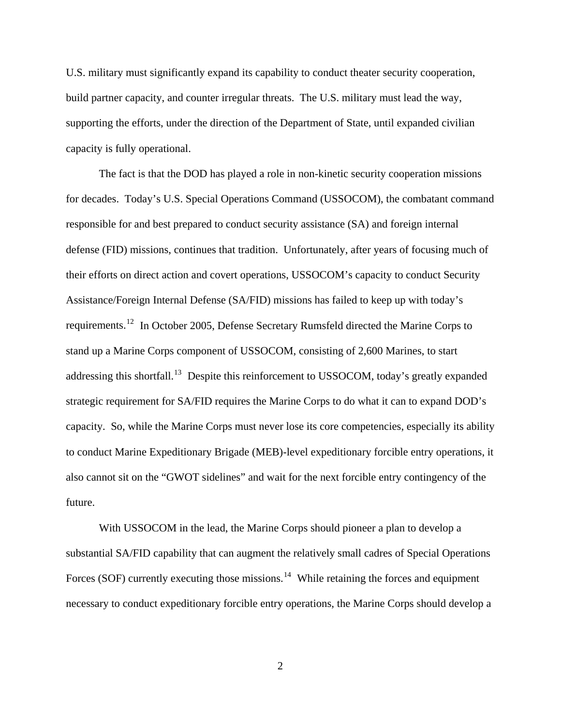U.S. military must significantly expand its capability to conduct theater security cooperation, build partner capacity, and counter irregular threats. The U.S. military must lead the way, supporting the efforts, under the direction of the Department of State, until expanded civilian capacity is fully operational.

The fact is that the DOD has played a role in non-kinetic security cooperation missions for decades. Today's U.S. Special Operations Command (USSOCOM), the combatant command responsible for and best prepared to conduct security assistance (SA) and foreign internal defense (FID) missions, continues that tradition. Unfortunately, after years of focusing much of their efforts on direct action and covert operations, USSOCOM's capacity to conduct Security Assistance/Foreign Internal Defense (SA/FID) missions has failed to keep up with today's requirements.[12](#page-34-2) In October 2005, Defense Secretary Rumsfeld directed the Marine Corps to stand up a Marine Corps component of USSOCOM, consisting of 2,600 Marines, to start addressing this shortfall.<sup>[13](#page-34-2)</sup> Despite this reinforcement to USSOCOM, today's greatly expanded strategic requirement for SA/FID requires the Marine Corps to do what it can to expand DOD's capacity. So, while the Marine Corps must never lose its core competencies, especially its ability to conduct Marine Expeditionary Brigade (MEB)-level expeditionary forcible entry operations, it also cannot sit on the "GWOT sidelines" and wait for the next forcible entry contingency of the future.

With USSOCOM in the lead, the Marine Corps should pioneer a plan to develop a substantial SA/FID capability that can augment the relatively small cadres of Special Operations Forces (SOF) currently executing those missions.<sup>[14](#page-34-2)</sup> While retaining the forces and equipment necessary to conduct expeditionary forcible entry operations, the Marine Corps should develop a

2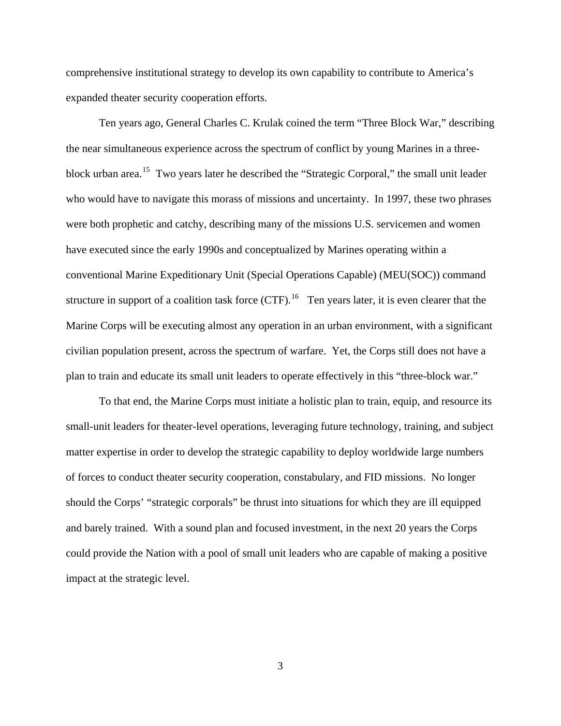comprehensive institutional strategy to develop its own capability to contribute to America's expanded theater security cooperation efforts.

Ten years ago, General Charles C. Krulak coined the term "Three Block War," describing the near simultaneous experience across the spectrum of conflict by young Marines in a three-block urban area.<sup>[15](#page-34-2)</sup> Two years later he described the "Strategic Corporal," the small unit leader who would have to navigate this morass of missions and uncertainty. In 1997, these two phrases were both prophetic and catchy, describing many of the missions U.S. servicemen and women have executed since the early 1990s and conceptualized by Marines operating within a conventional Marine Expeditionary Unit (Special Operations Capable) (MEU(SOC)) command structure in support of a coalition task force  $(CTF)$ .<sup>[16](#page-34-2)</sup> Ten years later, it is even clearer that the Marine Corps will be executing almost any operation in an urban environment, with a significant civilian population present, across the spectrum of warfare. Yet, the Corps still does not have a plan to train and educate its small unit leaders to operate effectively in this "three-block war."

To that end, the Marine Corps must initiate a holistic plan to train, equip, and resource its small-unit leaders for theater-level operations, leveraging future technology, training, and subject matter expertise in order to develop the strategic capability to deploy worldwide large numbers of forces to conduct theater security cooperation, constabulary, and FID missions. No longer should the Corps' "strategic corporals" be thrust into situations for which they are ill equipped and barely trained. With a sound plan and focused investment, in the next 20 years the Corps could provide the Nation with a pool of small unit leaders who are capable of making a positive impact at the strategic level.

3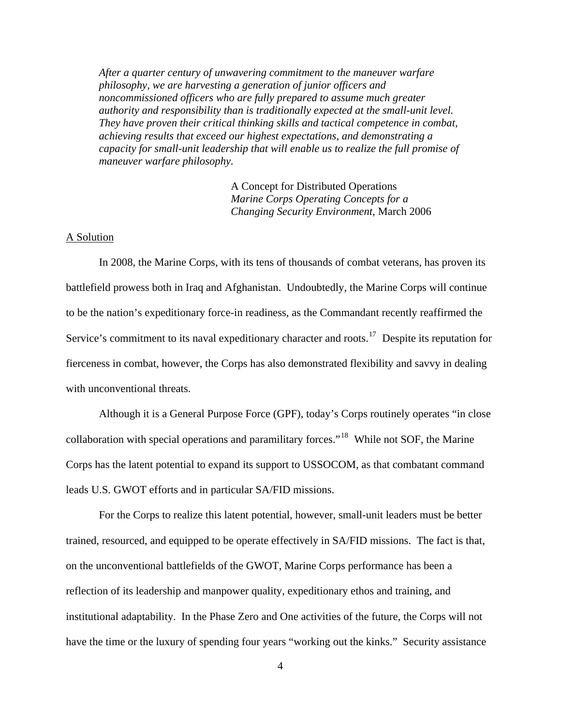*After a quarter century of unwavering commitment to the maneuver warfare philosophy, we are harvesting a generation of junior officers and noncommissioned officers who are fully prepared to assume much greater authority and responsibility than is traditionally expected at the small-unit level. They have proven their critical thinking skills and tactical competence in combat, achieving results that exceed our highest expectations, and demonstrating a capacity for small-unit leadership that will enable us to realize the full promise of maneuver warfare philosophy.* 

> A Concept for Distributed Operations *Marine Corps Operating Concepts for a Changing Security Environment*, March 2006

## A Solution

 In 2008, the Marine Corps, with its tens of thousands of combat veterans, has proven its battlefield prowess both in Iraq and Afghanistan. Undoubtedly, the Marine Corps will continue to be the nation's expeditionary force-in readiness, as the Commandant recently reaffirmed the Service's commitment to its naval expeditionary character and roots.<sup>[17](#page-34-2)</sup> Despite its reputation for fierceness in combat, however, the Corps has also demonstrated flexibility and savvy in dealing with unconventional threats.

Although it is a General Purpose Force (GPF), today's Corps routinely operates "in close collaboration with special operations and paramilitary forces."[18](#page-34-2) While not SOF, the Marine Corps has the latent potential to expand its support to USSOCOM, as that combatant command leads U.S. GWOT efforts and in particular SA/FID missions.

For the Corps to realize this latent potential, however, small-unit leaders must be better trained, resourced, and equipped to be operate effectively in SA/FID missions. The fact is that, on the unconventional battlefields of the GWOT, Marine Corps performance has been a reflection of its leadership and manpower quality, expeditionary ethos and training, and institutional adaptability. In the Phase Zero and One activities of the future, the Corps will not have the time or the luxury of spending four years "working out the kinks." Security assistance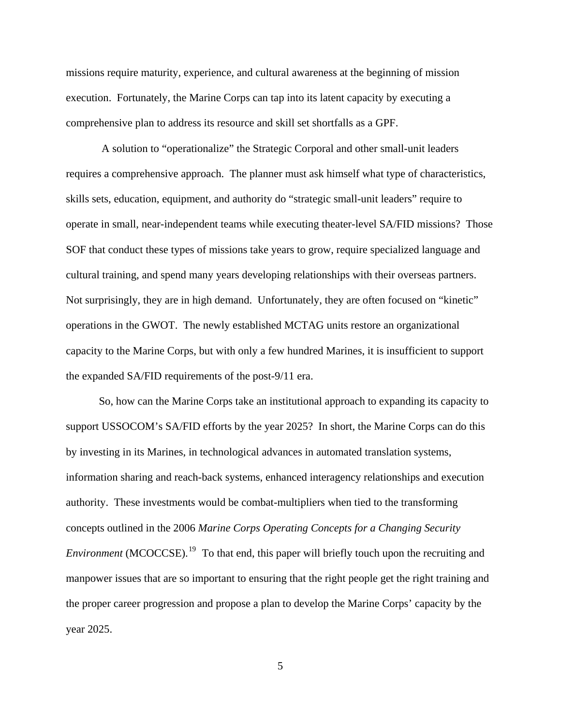missions require maturity, experience, and cultural awareness at the beginning of mission execution. Fortunately, the Marine Corps can tap into its latent capacity by executing a comprehensive plan to address its resource and skill set shortfalls as a GPF.

 A solution to "operationalize" the Strategic Corporal and other small-unit leaders requires a comprehensive approach. The planner must ask himself what type of characteristics, skills sets, education, equipment, and authority do "strategic small-unit leaders" require to operate in small, near-independent teams while executing theater-level SA/FID missions? Those SOF that conduct these types of missions take years to grow, require specialized language and cultural training, and spend many years developing relationships with their overseas partners. Not surprisingly, they are in high demand. Unfortunately, they are often focused on "kinetic" operations in the GWOT. The newly established MCTAG units restore an organizational capacity to the Marine Corps, but with only a few hundred Marines, it is insufficient to support the expanded SA/FID requirements of the post-9/11 era.

So, how can the Marine Corps take an institutional approach to expanding its capacity to support USSOCOM's SA/FID efforts by the year 2025? In short, the Marine Corps can do this by investing in its Marines, in technological advances in automated translation systems, information sharing and reach-back systems, enhanced interagency relationships and execution authority. These investments would be combat-multipliers when tied to the transforming concepts outlined in the 2006 *Marine Corps Operating Concepts for a Changing Security Environment* (MCOCCSE).<sup>[19](#page-34-2)</sup> To that end, this paper will briefly touch upon the recruiting and manpower issues that are so important to ensuring that the right people get the right training and the proper career progression and propose a plan to develop the Marine Corps' capacity by the year 2025.

5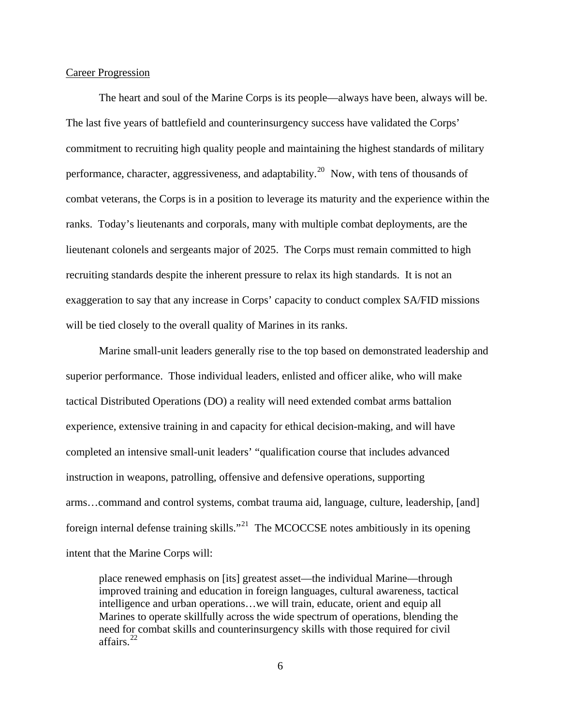## Career Progression

 The heart and soul of the Marine Corps is its people—always have been, always will be. The last five years of battlefield and counterinsurgency success have validated the Corps' commitment to recruiting high quality people and maintaining the highest standards of military performance, character, aggressiveness, and adaptability.<sup>[20](#page-34-2)</sup> Now, with tens of thousands of combat veterans, the Corps is in a position to leverage its maturity and the experience within the ranks. Today's lieutenants and corporals, many with multiple combat deployments, are the lieutenant colonels and sergeants major of 2025. The Corps must remain committed to high recruiting standards despite the inherent pressure to relax its high standards. It is not an exaggeration to say that any increase in Corps' capacity to conduct complex SA/FID missions will be tied closely to the overall quality of Marines in its ranks.

Marine small-unit leaders generally rise to the top based on demonstrated leadership and superior performance. Those individual leaders, enlisted and officer alike, who will make tactical Distributed Operations (DO) a reality will need extended combat arms battalion experience, extensive training in and capacity for ethical decision-making, and will have completed an intensive small-unit leaders' "qualification course that includes advanced instruction in weapons, patrolling, offensive and defensive operations, supporting arms…command and control systems, combat trauma aid, language, culture, leadership, [and] foreign internal defense training skills."<sup>[21](#page-34-2)</sup> The MCOCCSE notes ambitiously in its opening intent that the Marine Corps will:

place renewed emphasis on [its] greatest asset—the individual Marine—through improved training and education in foreign languages, cultural awareness, tactical intelligence and urban operations…we will train, educate, orient and equip all Marines to operate skillfully across the wide spectrum of operations, blending the need for combat skills and counterinsurgency skills with those required for civil affairs. $^{22}$  $^{22}$  $^{22}$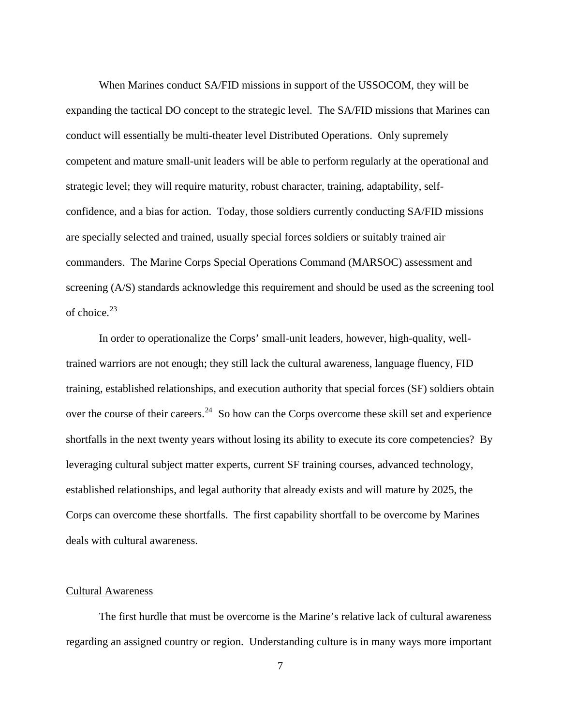When Marines conduct SA/FID missions in support of the USSOCOM, they will be expanding the tactical DO concept to the strategic level. The SA/FID missions that Marines can conduct will essentially be multi-theater level Distributed Operations. Only supremely competent and mature small-unit leaders will be able to perform regularly at the operational and strategic level; they will require maturity, robust character, training, adaptability, selfconfidence, and a bias for action. Today, those soldiers currently conducting SA/FID missions are specially selected and trained, usually special forces soldiers or suitably trained air commanders. The Marine Corps Special Operations Command (MARSOC) assessment and screening (A/S) standards acknowledge this requirement and should be used as the screening tool of choice. $^{23}$  $^{23}$  $^{23}$ 

In order to operationalize the Corps' small-unit leaders, however, high-quality, welltrained warriors are not enough; they still lack the cultural awareness, language fluency, FID training, established relationships, and execution authority that special forces (SF) soldiers obtain over the course of their careers.<sup>[24](#page-35-0)</sup> So how can the Corps overcome these skill set and experience shortfalls in the next twenty years without losing its ability to execute its core competencies? By leveraging cultural subject matter experts, current SF training courses, advanced technology, established relationships, and legal authority that already exists and will mature by 2025, the Corps can overcome these shortfalls. The first capability shortfall to be overcome by Marines deals with cultural awareness.

### Cultural Awareness

 The first hurdle that must be overcome is the Marine's relative lack of cultural awareness regarding an assigned country or region. Understanding culture is in many ways more important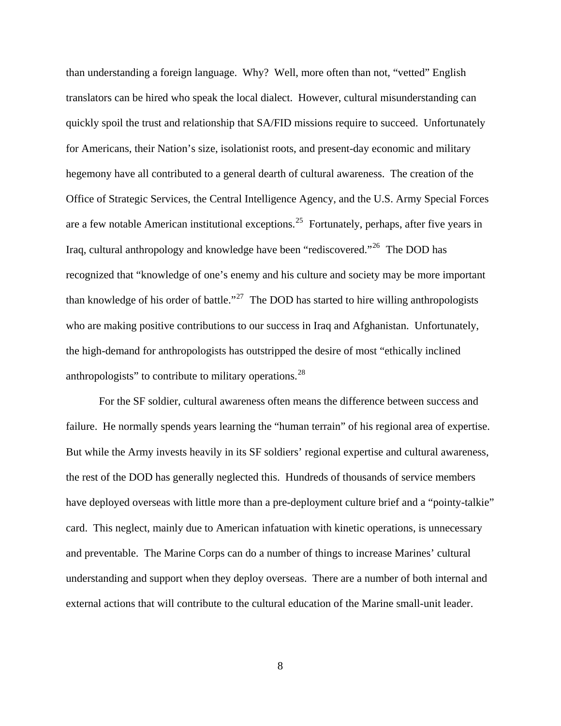than understanding a foreign language. Why? Well, more often than not, "vetted" English translators can be hired who speak the local dialect. However, cultural misunderstanding can quickly spoil the trust and relationship that SA/FID missions require to succeed. Unfortunately for Americans, their Nation's size, isolationist roots, and present-day economic and military hegemony have all contributed to a general dearth of cultural awareness. The creation of the Office of Strategic Services, the Central Intelligence Agency, and the U.S. Army Special Forces are a few notable American institutional exceptions.<sup>[25](#page-35-0)</sup> Fortunately, perhaps, after five years in Iraq, cultural anthropology and knowledge have been "rediscovered."<sup>[26](#page-35-0)</sup> The DOD has recognized that "knowledge of one's enemy and his culture and society may be more important than knowledge of his order of battle."<sup>[27](#page-35-0)</sup> The DOD has started to hire willing anthropologists who are making positive contributions to our success in Iraq and Afghanistan. Unfortunately, the high-demand for anthropologists has outstripped the desire of most "ethically inclined anthropologists" to contribute to military operations.[28](#page-35-0)

For the SF soldier, cultural awareness often means the difference between success and failure. He normally spends years learning the "human terrain" of his regional area of expertise. But while the Army invests heavily in its SF soldiers' regional expertise and cultural awareness, the rest of the DOD has generally neglected this. Hundreds of thousands of service members have deployed overseas with little more than a pre-deployment culture brief and a "pointy-talkie" card. This neglect, mainly due to American infatuation with kinetic operations, is unnecessary and preventable. The Marine Corps can do a number of things to increase Marines' cultural understanding and support when they deploy overseas. There are a number of both internal and external actions that will contribute to the cultural education of the Marine small-unit leader.

8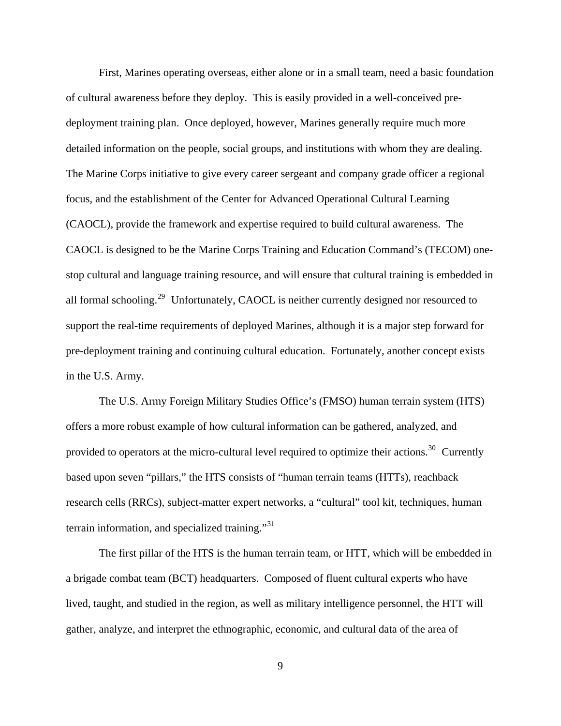First, Marines operating overseas, either alone or in a small team, need a basic foundation of cultural awareness before they deploy. This is easily provided in a well-conceived predeployment training plan. Once deployed, however, Marines generally require much more detailed information on the people, social groups, and institutions with whom they are dealing. The Marine Corps initiative to give every career sergeant and company grade officer a regional focus, and the establishment of the Center for Advanced Operational Cultural Learning (CAOCL), provide the framework and expertise required to build cultural awareness. The CAOCL is designed to be the Marine Corps Training and Education Command's (TECOM) onestop cultural and language training resource, and will ensure that cultural training is embedded in all formal schooling.[29](#page-35-0) Unfortunately, CAOCL is neither currently designed nor resourced to support the real-time requirements of deployed Marines, although it is a major step forward for pre-deployment training and continuing cultural education. Fortunately, another concept exists in the U.S. Army.

The U.S. Army Foreign Military Studies Office's (FMSO) human terrain system (HTS) offers a more robust example of how cultural information can be gathered, analyzed, and provided to operators at the micro-cultural level required to optimize their actions.<sup>[30](#page-35-0)</sup> Currently based upon seven "pillars," the HTS consists of "human terrain teams (HTTs), reachback research cells (RRCs), subject-matter expert networks, a "cultural" tool kit, techniques, human terrain information, and specialized training."<sup>[31](#page-35-0)</sup>

The first pillar of the HTS is the human terrain team, or HTT, which will be embedded in a brigade combat team (BCT) headquarters. Composed of fluent cultural experts who have lived, taught, and studied in the region, as well as military intelligence personnel, the HTT will gather, analyze, and interpret the ethnographic, economic, and cultural data of the area of

9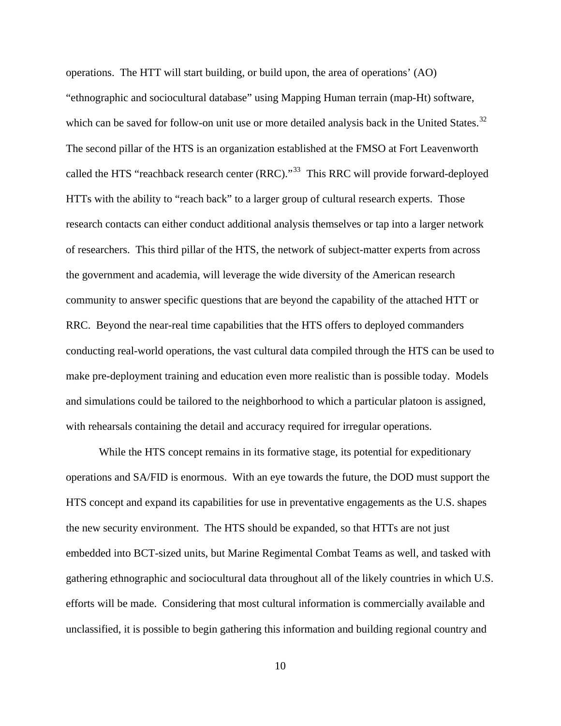operations. The HTT will start building, or build upon, the area of operations' (AO) "ethnographic and sociocultural database" using Mapping Human terrain (map-Ht) software, which can be saved for follow-on unit use or more detailed analysis back in the United States.<sup>[32](#page-35-0)</sup> The second pillar of the HTS is an organization established at the FMSO at Fort Leavenworth called the HTS "reachback research center  $(RRC)$ ."<sup>[33](#page-35-0)</sup> This RRC will provide forward-deployed HTTs with the ability to "reach back" to a larger group of cultural research experts. Those research contacts can either conduct additional analysis themselves or tap into a larger network of researchers. This third pillar of the HTS, the network of subject-matter experts from across the government and academia, will leverage the wide diversity of the American research community to answer specific questions that are beyond the capability of the attached HTT or RRC. Beyond the near-real time capabilities that the HTS offers to deployed commanders conducting real-world operations, the vast cultural data compiled through the HTS can be used to make pre-deployment training and education even more realistic than is possible today. Models and simulations could be tailored to the neighborhood to which a particular platoon is assigned, with rehearsals containing the detail and accuracy required for irregular operations.

While the HTS concept remains in its formative stage, its potential for expeditionary operations and SA/FID is enormous. With an eye towards the future, the DOD must support the HTS concept and expand its capabilities for use in preventative engagements as the U.S. shapes the new security environment. The HTS should be expanded, so that HTTs are not just embedded into BCT-sized units, but Marine Regimental Combat Teams as well, and tasked with gathering ethnographic and sociocultural data throughout all of the likely countries in which U.S. efforts will be made. Considering that most cultural information is commercially available and unclassified, it is possible to begin gathering this information and building regional country and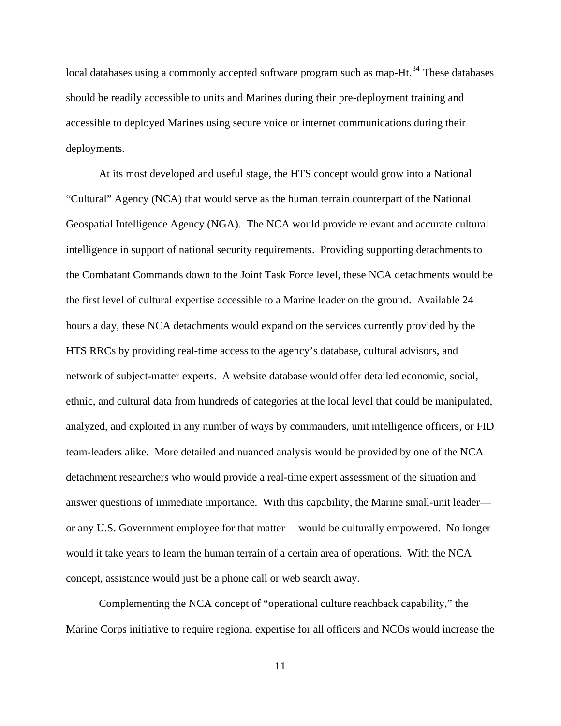local databases using a commonly accepted software program such as map-Ht.<sup>[34](#page-35-0)</sup> These databases should be readily accessible to units and Marines during their pre-deployment training and accessible to deployed Marines using secure voice or internet communications during their deployments.

At its most developed and useful stage, the HTS concept would grow into a National "Cultural" Agency (NCA) that would serve as the human terrain counterpart of the National Geospatial Intelligence Agency (NGA). The NCA would provide relevant and accurate cultural intelligence in support of national security requirements. Providing supporting detachments to the Combatant Commands down to the Joint Task Force level, these NCA detachments would be the first level of cultural expertise accessible to a Marine leader on the ground. Available 24 hours a day, these NCA detachments would expand on the services currently provided by the HTS RRCs by providing real-time access to the agency's database, cultural advisors, and network of subject-matter experts. A website database would offer detailed economic, social, ethnic, and cultural data from hundreds of categories at the local level that could be manipulated, analyzed, and exploited in any number of ways by commanders, unit intelligence officers, or FID team-leaders alike. More detailed and nuanced analysis would be provided by one of the NCA detachment researchers who would provide a real-time expert assessment of the situation and answer questions of immediate importance. With this capability, the Marine small-unit leader or any U.S. Government employee for that matter— would be culturally empowered. No longer would it take years to learn the human terrain of a certain area of operations. With the NCA concept, assistance would just be a phone call or web search away.

Complementing the NCA concept of "operational culture reachback capability," the Marine Corps initiative to require regional expertise for all officers and NCOs would increase the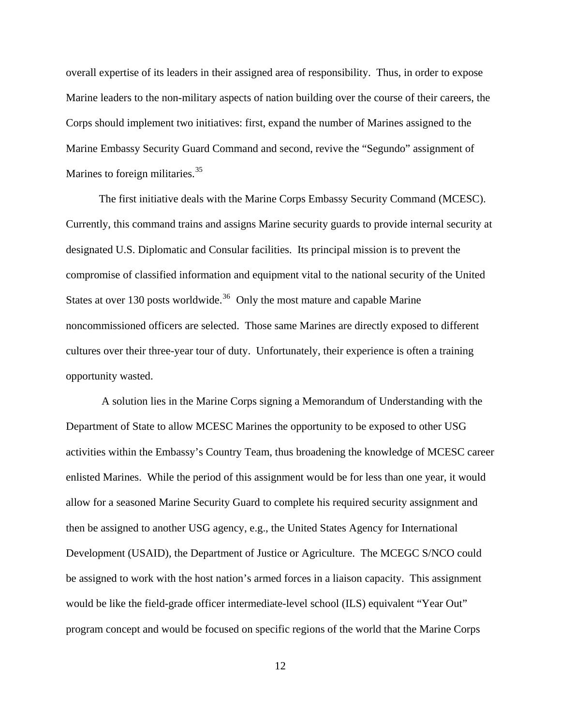overall expertise of its leaders in their assigned area of responsibility. Thus, in order to expose Marine leaders to the non-military aspects of nation building over the course of their careers, the Corps should implement two initiatives: first, expand the number of Marines assigned to the Marine Embassy Security Guard Command and second, revive the "Segundo" assignment of Marines to foreign militaries.<sup>[35](#page-35-0)</sup>

The first initiative deals with the Marine Corps Embassy Security Command (MCESC). Currently, this command trains and assigns Marine security guards to provide internal security at designated U.S. Diplomatic and Consular facilities. Its principal mission is to prevent the compromise of classified information and equipment vital to the national security of the United States at over 130 posts worldwide.<sup>[36](#page-35-0)</sup> Only the most mature and capable Marine noncommissioned officers are selected. Those same Marines are directly exposed to different cultures over their three-year tour of duty. Unfortunately, their experience is often a training opportunity wasted.

 A solution lies in the Marine Corps signing a Memorandum of Understanding with the Department of State to allow MCESC Marines the opportunity to be exposed to other USG activities within the Embassy's Country Team, thus broadening the knowledge of MCESC career enlisted Marines. While the period of this assignment would be for less than one year, it would allow for a seasoned Marine Security Guard to complete his required security assignment and then be assigned to another USG agency, e.g., the United States Agency for International Development (USAID), the Department of Justice or Agriculture. The MCEGC S/NCO could be assigned to work with the host nation's armed forces in a liaison capacity. This assignment would be like the field-grade officer intermediate-level school (ILS) equivalent "Year Out" program concept and would be focused on specific regions of the world that the Marine Corps

12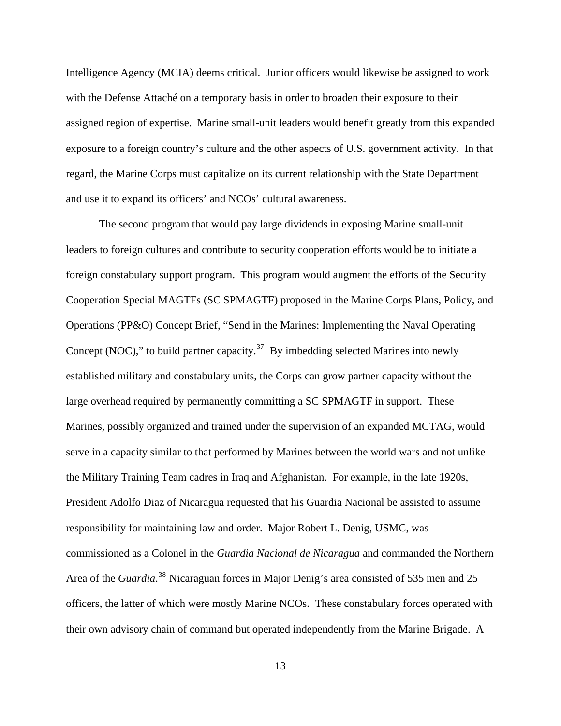Intelligence Agency (MCIA) deems critical. Junior officers would likewise be assigned to work with the Defense Attaché on a temporary basis in order to broaden their exposure to their assigned region of expertise. Marine small-unit leaders would benefit greatly from this expanded exposure to a foreign country's culture and the other aspects of U.S. government activity. In that regard, the Marine Corps must capitalize on its current relationship with the State Department and use it to expand its officers' and NCOs' cultural awareness.

The second program that would pay large dividends in exposing Marine small-unit leaders to foreign cultures and contribute to security cooperation efforts would be to initiate a foreign constabulary support program. This program would augment the efforts of the Security Cooperation Special MAGTFs (SC SPMAGTF) proposed in the Marine Corps Plans, Policy, and Operations (PP&O) Concept Brief, "Send in the Marines: Implementing the Naval Operating Concept (NOC)," to build partner capacity. $37$  By imbedding selected Marines into newly established military and constabulary units, the Corps can grow partner capacity without the large overhead required by permanently committing a SC SPMAGTF in support. These Marines, possibly organized and trained under the supervision of an expanded MCTAG, would serve in a capacity similar to that performed by Marines between the world wars and not unlike the Military Training Team cadres in Iraq and Afghanistan. For example, in the late 1920s, President Adolfo Diaz of Nicaragua requested that his Guardia Nacional be assisted to assume responsibility for maintaining law and order. Major Robert L. Denig, USMC, was commissioned as a Colonel in the *Guardia Nacional de Nicaragua* and commanded the Northern Area of the *Guardia*. [38](#page-35-0) Nicaraguan forces in Major Denig's area consisted of 535 men and 25 officers, the latter of which were mostly Marine NCOs. These constabulary forces operated with their own advisory chain of command but operated independently from the Marine Brigade. A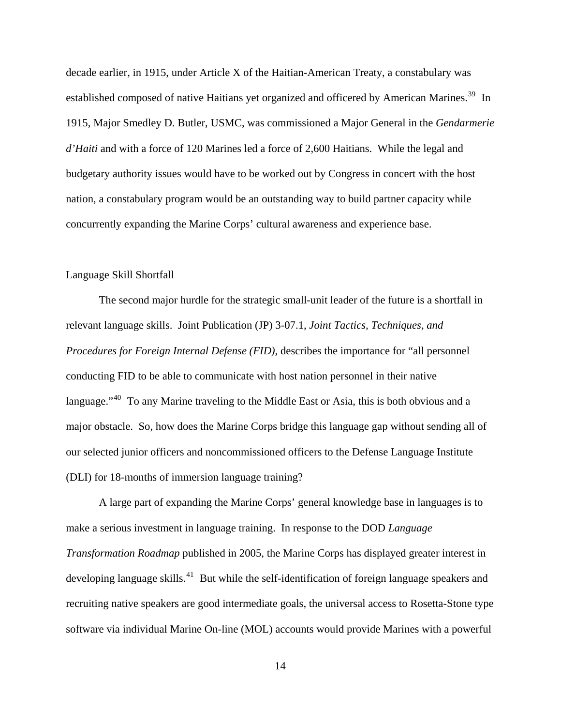decade earlier, in 1915, under Article X of the Haitian-American Treaty, a constabulary was established composed of native Haitians yet organized and officered by American Marines.<sup>[39](#page-35-0)</sup> In 1915, Major Smedley D. Butler, USMC, was commissioned a Major General in the *Gendarmerie d'Haiti* and with a force of 120 Marines led a force of 2,600 Haitians. While the legal and budgetary authority issues would have to be worked out by Congress in concert with the host nation, a constabulary program would be an outstanding way to build partner capacity while concurrently expanding the Marine Corps' cultural awareness and experience base.

#### Language Skill Shortfall

 The second major hurdle for the strategic small-unit leader of the future is a shortfall in relevant language skills. Joint Publication (JP) 3-07.1, *Joint Tactics, Techniques, and Procedures for Foreign Internal Defense (FID)*, describes the importance for "all personnel conducting FID to be able to communicate with host nation personnel in their native language."<sup>[40](#page-35-0)</sup> To any Marine traveling to the Middle East or Asia, this is both obvious and a major obstacle. So, how does the Marine Corps bridge this language gap without sending all of our selected junior officers and noncommissioned officers to the Defense Language Institute (DLI) for 18-months of immersion langua ge training?

A large part of expanding the Marine Corps' general knowledge base in languages is to make a serious investment in language training. In response to the DOD *Language Transformation Roadmap* published in 2005, the Marine Corps has displayed greater interest in developing language skills.<sup>[41](#page-35-0)</sup> But while the self-identification of foreign language speakers and recruiting native speakers are good intermediate goals, the universal access to Rosetta-Stone type software via individual Marine On-line (MOL) accounts would provide Marines with a powerful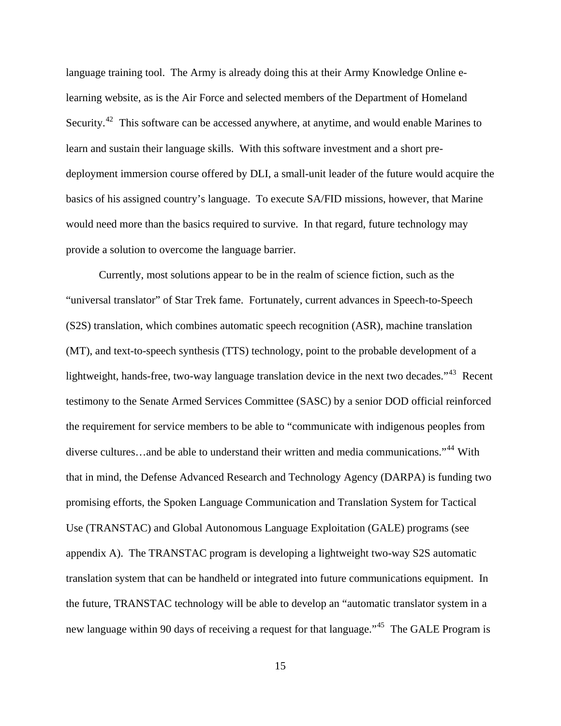language training tool. The Army is already doing this at their Army Knowledge Online elearning website, as is the Air Force and selected members of the Department of Homeland Security.<sup>[42](#page-35-0)</sup> This software can be accessed anywhere, at anytime, and would enable Marines to learn and sustain their language skills. With this software investment and a short predeployment immersion course offered by DLI, a small-unit leader of the future would acquire the basics of his assigned country's language. To execute SA/FID missions, however, that Marine would need more than the basics required to survive. In that regard, future technology may provide a solution to overcome the language barrier.

Currently, most solutions appear to be in the realm of science fiction, such as the "universal translator" of Star Trek fame. Fortunately, current advances in Speech-to-Speech (S2S) translation, which combines automatic speech recognition (ASR), machine translation (MT), and text-to-speech synthesis (TTS) technology, point to the probable development of a lightweight, hands-free, two-way language translation device in the next two decades."<sup>[43](#page-35-0)</sup> Recent testimony to the Senate Armed Services Committee (SASC) by a senior DOD official reinforced the requirement for service members to be able to "communicate with indigenous peoples from diverse cultures…and be able to understand their written and media communications."[44](#page-35-0) With that in mind, the Defense Advanced Research and Technology Agency (DARPA) is funding two promising efforts, the Spoken Language Communication and Translation System for Tactical Use (TRANSTAC) and Global Autonomous Language Exploitation (GALE) programs (see appendix A). The TRANSTAC program is developing a lightweight two-way S2S automatic translation system that can be handheld or integrated into future communications equipment. In the future, TRANSTAC technology will be able to develop an "automatic translator system in a new language within 90 days of receiving a request for that language."<sup>[45](#page-35-0)</sup> The GALE Program is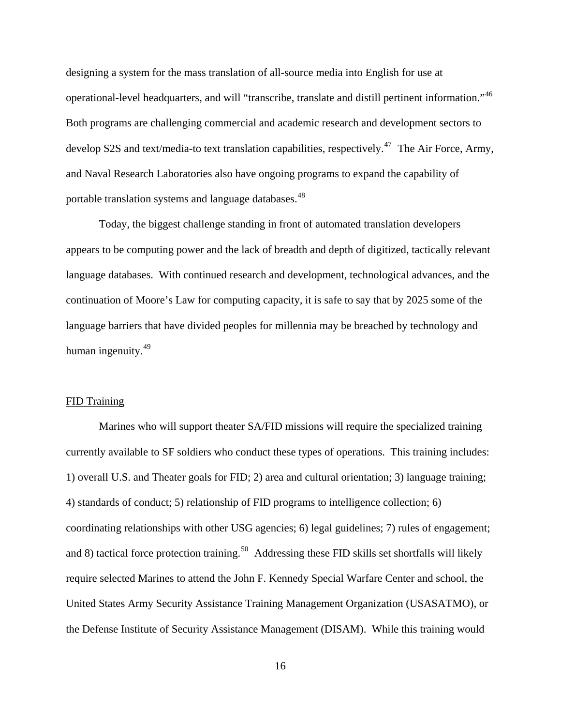designing a system for the mass translation of all-source media into English for use at operational-level headquarters, and will "transcribe, translate and distill pertinent information."[46](#page-35-0) Both programs are challenging commercial and academic research and development sectors to develop S2S and text/media-to text translation capabilities, respectively.<sup>[47](#page-35-0)</sup> The Air Force, Army, and Naval Research Laboratories also have ongoing programs to expand the capability of portable translation systems and language databases.<sup>[48](#page-35-0)</sup>

Today, the biggest challenge standing in front of automated translation developers appears to be computing power and the lack of breadth and depth of digitized, tactically relevant language databases. With continued research and development, technological advances, and the continuation of Moore's Law for computing capacity, it is safe to say that by 2025 some of the language barriers that have divided peoples for millennia may be breached by technology and human ingenuity.<sup>[49](#page-36-0)</sup>

#### FID Training

 Marines who will support theater SA/FID missions will require the specialized training currently available to SF soldiers who conduct these types of operations. This training includes: 1) overall U.S. and Theater goals for FID; 2) area and cultural orientation; 3) language training; 4) standards of conduct; 5) relationship of FID programs to intelligence collection; 6) coordinating relationships with other USG agencies; 6) legal guidelines; 7) rules of engagement; and 8) tactical force protection training.<sup>[50](#page-36-0)</sup> Addressing these FID skills set shortfalls will likely require selected Marines to attend the John F. Kennedy Special Warfare Center and school, the United States Army Security Assistance Training Management Organization (USASATMO), or the Defense Institute of Security Assistance Management (DISAM). While this training would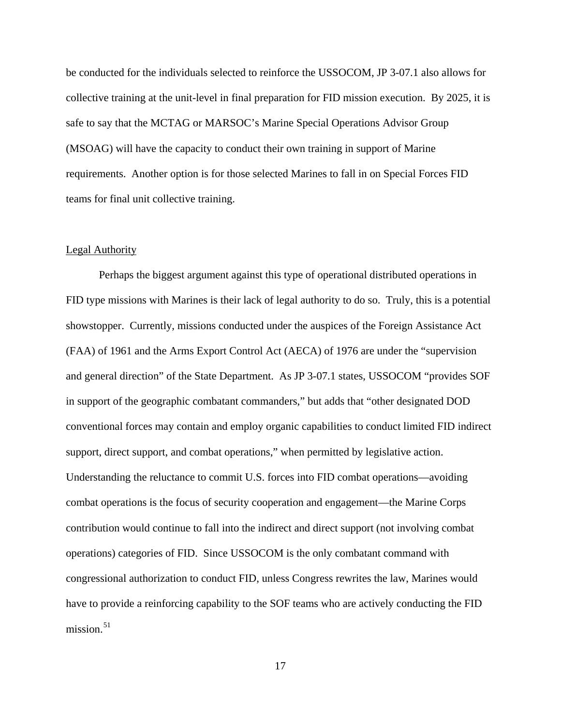be conducted for the individuals selected to reinforce the USSOCOM, JP 3-07.1 also allows for collective training at the unit-level in final preparation for FID mission execution. By 2025, it is safe to say that the MCTAG or MARSOC's Marine Special Operations Advisor Group (MSOAG) will have the capacity to conduct their own training in support of Marine requirements. Another option is for those selected Marines to fall in on Special Forces FID teams for final unit collective training.

#### Legal Authority

 Perhaps the biggest argument against this type of operational distributed operations in FID type missions with Marines is their lack of legal authority to do so. Truly, this is a potential showstopper. Currently, missions conducted under the auspices of the Foreign Assistance Act (FAA) of 1961 and the Arms Export Control Act (AECA) of 1976 are under the "supervision and general direction" of the State Department. As JP 3-07.1 states, USSOCOM "provides SOF in support of the geographic combatant commanders," but adds that "other designated DOD conventional forces may contain and employ organic capabilities to conduct limited FID indirect support, direct support, and combat operations," when permitted by legislative action. Understanding the reluctance to commit U.S. forces into FID combat operations—avoiding combat operations is the focus of security cooperation and engagement—the Marine Corps contribution would continue to fall into the indirect and direct support (not involving combat operations) categories of FID. Since USSOCOM is the only combatant command with congressional authorization to conduct FID, unless Congress rewrites the law, Marines would have to provide a reinforcing capability to the SOF teams who are actively conducting the FID mission. $51$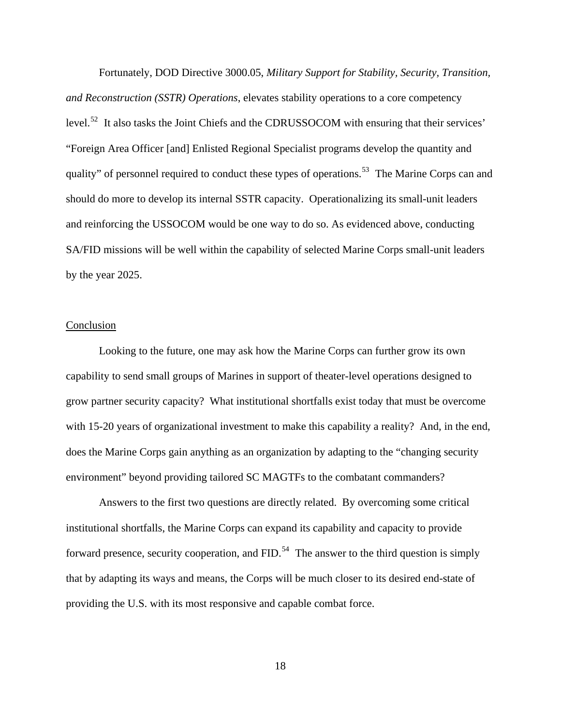Fortunately, DOD Directive 3000.05, *Military Support for Stability, Security, Transition, and Reconstruction (SSTR) Operations*, elevates stability operations to a core competency level.<sup>[52](#page-36-0)</sup> It also tasks the Joint Chiefs and the CDRUSSOCOM with ensuring that their services' "Foreign Area Officer [and] Enlisted Regional Specialist programs develop the quantity and quality" of personnel required to conduct these types of operations.<sup>[53](#page-36-0)</sup> The Marine Corps can and should do more to develop its internal SSTR capacity. Operationalizing its small-unit leaders and reinforcing the USSOCOM would be one way to do so. As evidenced above, conducting SA/FID missions will be well within the capability of selected Marine Corps small-unit leaders by the year 2025.

## Conclusion

Looking to the future, one may ask how the Marine Corps can further grow its own capability to send small groups of Marines in support of theater-level operations designed to grow partner security capacity? What institutional shortfalls exist today that must be overcome with 15-20 years of organizational investment to make this capability a reality? And, in the end, does the Marine Corps gain anything as an organization by adapting to the "changing security environment" beyond providing tailored SC MAGTFs to the combatant commanders?

Answers to the first two questions are directly related. By overcoming some critical institutional shortfalls, the Marine Corps can expand its capability and capacity to provide forward presence, security cooperation, and  $FID$ .<sup>[54](#page-36-0)</sup> The answer to the third question is simply that by adapting its ways and means, the Corps will be much closer to its desired end-state of providing the U.S. with its most responsive and capable combat force.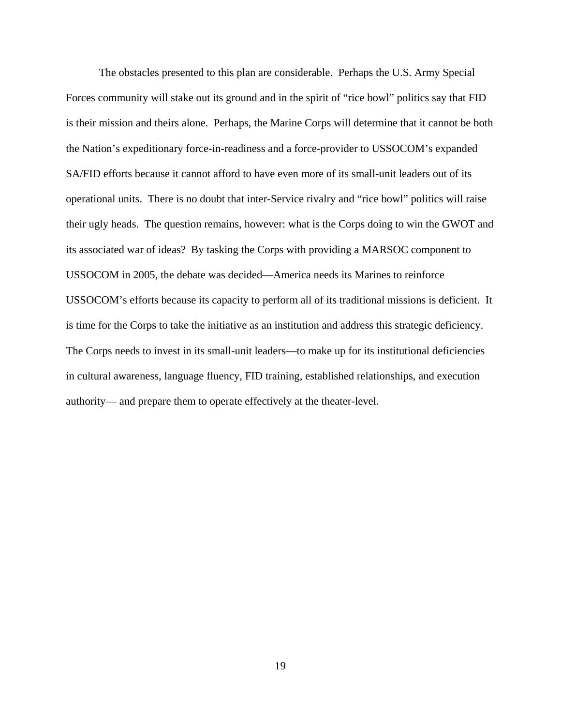The obstacles presented to this plan are considerable. Perhaps the U.S. Army Special Forces community will stake out its ground and in the spirit of "rice bowl" politics say that FID is their mission and theirs alone. Perhaps, the Marine Corps will determine that it cannot be both the Nation's expeditionary force-in-readiness and a force-provider to USSOCOM's expanded SA/FID efforts because it cannot afford to have even more of its small-unit leaders out of its operational units. There is no doubt that inter-Service rivalry and "rice bowl" politics will raise their ugly heads. The question remains, however: what is the Corps doing to win the GWOT and its associated war of ideas? By tasking the Corps with providing a MARSOC component to USSOCOM in 2005, the debate was decided—America needs its Marines to reinforce USSOCOM's efforts because its capacity to perform all of its traditional missions is deficient. It is time for the Corps to take the initiative as an institution and address this strategic deficiency. The Corps needs to invest in its small-unit leaders—to make up for its institutional deficiencies in cultural awareness, language fluency, FID training, established relationships, and execution authority— and prepare them to operate effectively at the theater-level.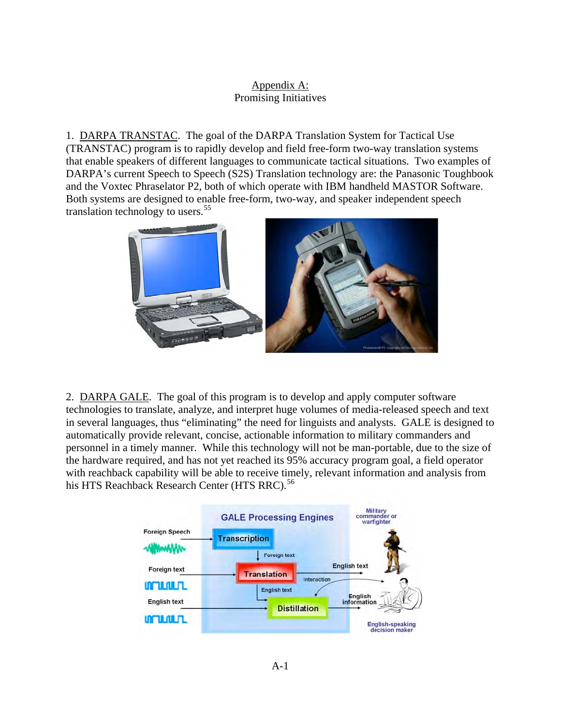# Appendix A: Promising Initiatives

1. DARPA TRANSTAC. The goal of the DARPA Translation System for Tactical Use (TRANSTAC) program is to rapidly develop and field free-form two-way translation systems that enable speakers of different languages to communicate tactical situations. Two examples of DARPA's current Speech to Speech (S2S) Translation technology are: the Panasonic Toughbook and the Voxtec Phraselator P2, both of which operate with IBM handheld MASTOR Software. Both systems are designed to enable free-form, two-way, and speaker independent speech translation technology to users.<sup>[55](#page-36-0)</sup>



2. DARPA GALE. The goal of this program is to develop and apply computer software technologies to translate, analyze, and interpret huge volumes of media-released speech and text in several languages, thus "eliminating" the need for linguists and analysts. GALE is designed to automatically provide relevant, concise, actionable information to military commanders and personnel in a timely manner. While this technology will not be man-portable, due to the size of the hardware required, and has not yet reached its 95% accuracy program goal, a field operator with reachback capability will be able to receive timely, relevant information and analysis from his HTS Reachback Research Center (HTS RRC).<sup>[56](#page-36-0)</sup>

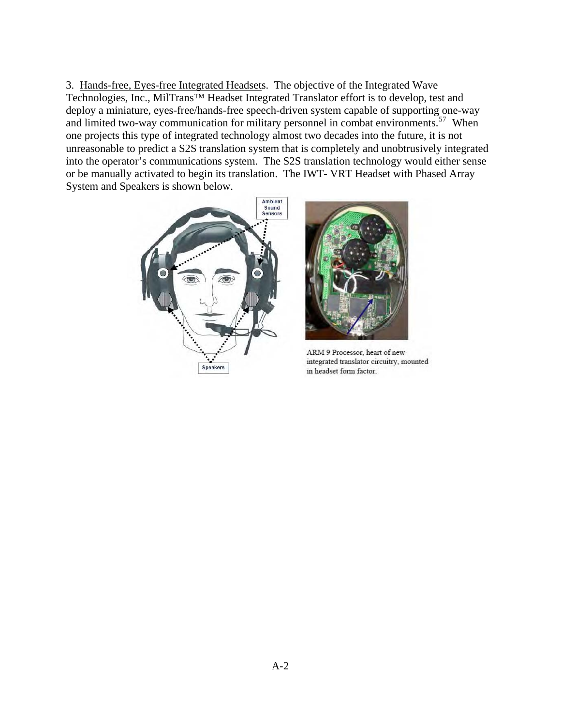3. Hands-free, Eyes-free Integrated Headsets. The objective of the Integrated Wave Technologies, Inc., MilTrans™ Headset Integrated Translator effort is to develop, test and deploy a miniature, eyes-free/hands-free speech-driven system capable of supporting one-way and limited two-way communication for military personnel in combat environments.<sup>[57](#page-36-0)</sup> When one projects this type of integrated technology almost two decades into the future, it is not unreasonable to predict a S2S translation system that is completely and unobtrusively integrated into the operator's communications system. The S2S translation technology would either sense or be manually activated to begin its translation. The IWT- VRT Headset with Phased Array System and Speakers is shown below.





ARM 9 Processor, heart of new integrated translator circuitry, mounted in headset form factor.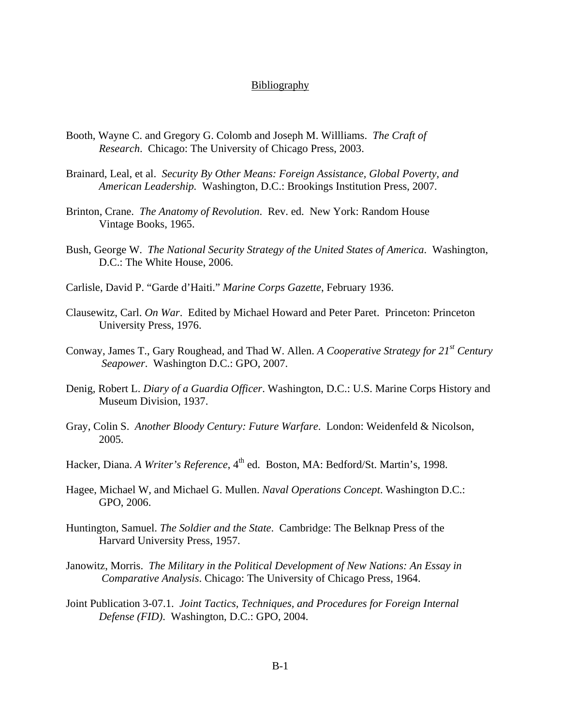## Bibliography

- Booth, Wayne C. and Gregory G. Colomb and Joseph M. Willliams. *The Craft of Research*. Chicago: The University of Chicago Press, 2003.
- Brainard, Leal, et al. *Security By Other Means: Foreign Assistance, Global Poverty, and American Leadership.* Washington, D.C.: Brookings Institution Press, 2007.
- Brinton, Crane. *The Anatomy of Revolution*. Rev. ed. New York: Random House Vintage Books, 1965.
- Bush, George W. *The National Security Strategy of the United States of America*. Washington, D.C.: The White House, 2006.
- Carlisle, David P. "Garde d'Haiti." *Marine Corps Gazette*, February 1936.
- Clausewitz, Carl. *On War*. Edited by Michael Howard and Peter Paret. Princeton: Princeton University Press, 1976.
- Conway, James T., Gary Roughead, and Thad W. Allen. *A Cooperative Strategy for 21st Century Seapower*. Washington D.C.: GPO, 2007.
- Denig, Robert L. *Diary of a Guardia Officer*. Washington, D.C.: U.S. Marine Corps History and Museum Division, 1937.
- Gray, Colin S. *Another Bloody Century: Future Warfare*. London: Weidenfeld & Nicolson, 2005.
- Hacker, Diana. *A Writer's Reference*, 4<sup>th</sup> ed. Boston, MA: Bedford/St. Martin's, 1998.
- Hagee, Michael W, and Michael G. Mullen. *Naval Operations Concept*. Washington D.C.: GPO, 2006.
- Huntington, Samuel. *The Soldier and the State*. Cambridge: The Belknap Press of the Harvard University Press, 1957.
- Janowitz, Morris. *The Military in the Political Development of New Nations: An Essay in Comparative Analysis*. Chicago: The University of Chicago Press, 1964.
- Joint Publication 3-07.1. *Joint Tactics, Techniques, and Procedures for Foreign Internal Defense (FID)*. Washington, D.C.: GPO, 2004.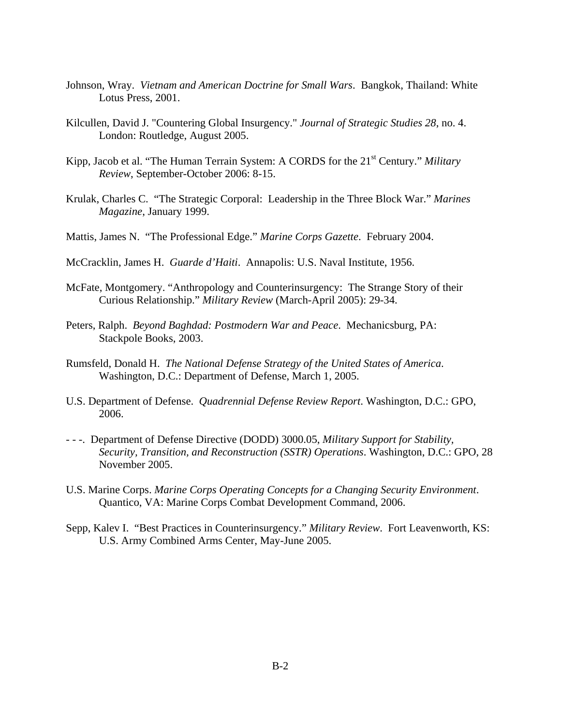- Johnson, Wray. *Vietnam and American Doctrine for Small Wars*. Bangkok, Thailand: White Lotus Press, 2001.
- Kilcullen, David J. "Countering Global Insurgency." *Journal of Strategic Studies 28*, no. 4. London: Routledge, August 2005.
- Kipp, Jacob et al. "The Human Terrain System: A CORDS for the 21<sup>st</sup> Century." *Military Review*, September-October 2006: 8-15.
- Krulak, Charles C. "The Strategic Corporal: Leadership in the Three Block War." *Marines Magazine*, January 1999.
- Mattis, James N. "The Professional Edge." *Marine Corps Gazette*. February 2004.
- McCracklin, James H. *Guarde d'Haiti*. Annapolis: U.S. Naval Institute, 1956.
- McFate, Montgomery. "Anthropology and Counterinsurgency: The Strange Story of their Curious Relationship." *Military Review* (March-April 2005): 29-34.
- Peters, Ralph. *Beyond Baghdad: Postmodern War and Peace*. Mechanicsburg, PA: Stackpole Books, 2003.
- Rumsfeld, Donald H. *The National Defense Strategy of the United States of America*. Washington, D.C.: Department of Defense, March 1, 2005.
- U.S. Department of Defense. *Quadrennial Defense Review Report*. Washington, D.C.: GPO, 2006.
- - -. Department of Defense Directive (DODD) 3000.05, *Military Support for Stability, Security, Transition, and Reconstruction (SSTR) Operations*. Washington, D.C.: GPO, 28 November 2005.
- U.S. Marine Corps. *Marine Corps Operating Concepts for a Changing Security Environment*. Quantico, VA: Marine Corps Combat Development Command, 2006.
- Sepp, Kalev I. "Best Practices in Counterinsurgency." *Military Review*. Fort Leavenworth, KS: U.S. Army Combined Arms Center, May-June 2005.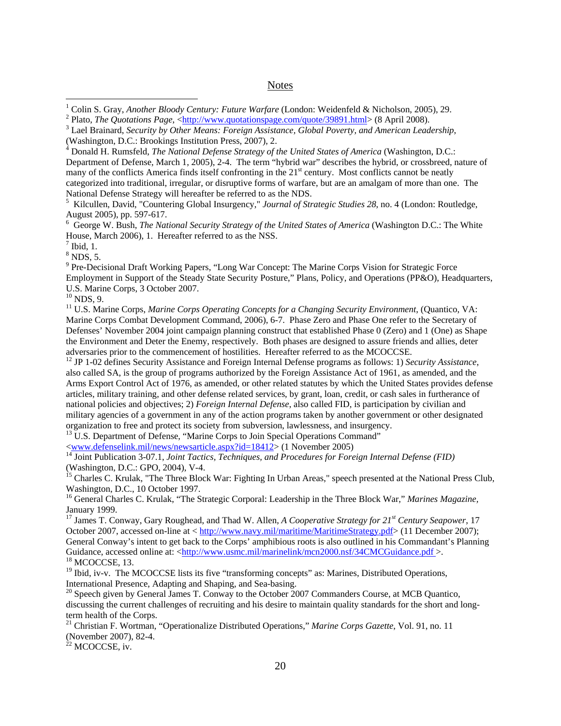### **Notes**

<sup>5</sup> Kilcullen, David, "Countering Global Insurgency," *Journal of Strategic Studies 28*, no. 4 (London: Routledge, August 2005), pp. 597-617.

6 George W. Bush, *The National Security Strategy of the United States of America* (Washington D.C.: The White House, March 2006), 1. Hereafter referred to as the NSS.

 $<sup>7</sup>$  Ibid, 1.</sup>

<span id="page-34-2"></span><span id="page-34-1"></span> $\overline{a}$ 

 $8$  NDS, 5.

<sup>9</sup> Pre-Decisional Draft Working Papers, "Long War Concept: The Marine Corps Vision for Strategic Force Employment in Support of the Steady State Security Posture," Plans, Policy, and Operations (PP&O), Headquarters, U.S. Marine Corps, 3 October 2007.

 $10$  NDS, 9.

<sup>11</sup> U.S. Marine Corps, *Marine Corps Operating Concepts for a Changing Security Environment*, (Quantico, VA: Marine Corps Combat Development Command, 2006), 6-7. Phase Zero and Phase One refer to the Secretary of Defenses' November 2004 joint campaign planning construct that established Phase 0 (Zero) and 1 (One) as Shape the Environment and Deter the Enemy, respectively. Both phases are designed to assure friends and allies, deter<br>adversaries prior to the commencement of hostilities. Hereafter referred to as the MCOCCSE.

<sup>12</sup> JP 1-02 defines Security Assistance and Foreign Internal Defense programs as follows: 1) *Security Assistance*, also called SA, is the group of programs authorized by the Foreign Assistance Act of 1961, as amended, and the Arms Export Control Act of 1976, as amended, or other related statutes by which the United States provides defense articles, military training, and other defense related services, by grant, loan, credit, or cash sales in furtherance of national policies and objectives; 2) *Foreign Internal Defense*, also called FID, is participation by civilian and military agencies of a government in any of the action programs taken by another government or other designated organization to free and protect its society from subversion, lawlessness, and insurgency.

<sup>13</sup> U.S. Department of Defense, "Marine Corps to Join Special Operations Command"  $\langle$ www.defenselink.mil/news/newsarticle.aspx?id=18412> (1 November 2005)

<sup>14</sup> Joint Publication 3-07.1, *Joint Tactics, Techniques, and Procedures for Foreign Internal Defense (FID)* (Washington, D.C.: GPO, 2004), V-4.

<sup>15</sup> Charles C. Krulak, "The Three Block War: Fighting In Urban Areas," speech presented at the National Press Club, Washington, D.C., 10 October 1997.

16 General Charles C. Krulak, "The Strategic Corporal: Leadership in the Three Block War," *Marines Magazine,* January 1999.

17 James T. Conway, Gary Roughead, and Thad W. Allen, *A Cooperative Strategy for 21st Century Seapower*, 17 October 2007, accessed on-line at < <http://www.navy.mil/maritime/MaritimeStrategy.pdf>> (11 December 2007); General Conway's intent to get back to the Corps' amphibious roots is also outlined in his Commandant's Planning Guidance, accessed online at: [<http://www.usmc.mil/marinelink/mcn2000.nsf/34CMCGuidance.pdf >](http://www.usmc.mil/marinelink/mcn2000.nsf/34CMCGuidance.pdf). 18 MCOCCSE, 13.

 $19$  Ibid, iv-v. The MCOCCSE lists its five "transforming concepts" as: Marines, Distributed Operations, International Presence, Adapting and Shaping, and Sea-basing.

 $20$  Speech given by General James T. Conway to the October 2007 Commanders Course, at MCB Quantico, discussing the current challenges of recruiting and his desire to maintain quality standards for the short and longterm health of the Corps.

21 Christian F. Wortman, "Operationalize Distributed Operations," *Marine Corps Gazette*, Vol. 91, no. 11 (November 2007), 82-4.

 $22$  MCOCCSE, iv.

<span id="page-34-0"></span><sup>&</sup>lt;sup>1</sup> Colin S. Gray, *Another Bloody Century: Future Warfare* (London: Weidenfeld & Nicholson, 2005), 29.<br><sup>2</sup> Plate, *The Quatations Base, chttp://www.guatationanege.com/guata/2000, html: (8, April 2009).* 

<sup>&</sup>lt;sup>2</sup> Plato, *The Quotations Page*,  $\langle \text{http://www.quotationspage.com/quote/39891.html} \rangle$  (8 April 2008).

Lael Brainard, *Security by Other Means: Foreign Assistance, Global Poverty, and American Leadership*, (Washington, D.C.: Brookings Institution Press, 2007). 2.

Donald H. Rumsfeld, *The National Defense Strategy of the United States of America* (Washington, D.C.: Department of Defense, March 1, 2005), 2-4. The term "hybrid war" describes the hybrid, or crossbreed, nature of many of the conflicts America finds itself confronting in the  $21<sup>st</sup>$  century. Most conflicts cannot be neatly categorized into traditional, irregular, or disruptive forms of warfare, but are an amalgam of more than one. The National Defense Strategy will hereafter be referred to as the NDS. 5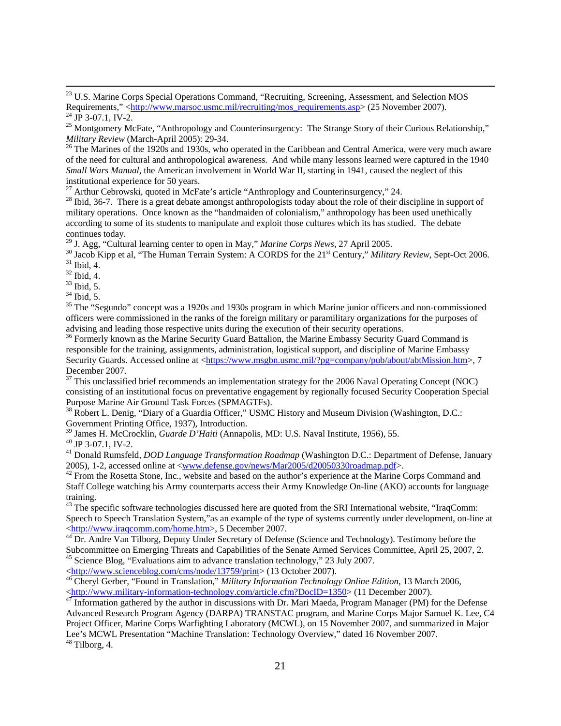<sup>26</sup> The Marines of the 1920s and 1930s, who operated in the Caribbean and Central America, were very much aware of the need for cultural and anthropological awareness. And while many lessons learned were captured in the 1940 *Small Wars Manual*, the American involvement in World War II, starting in 1941, caused the neglect of this institutional experience for 50 years.

 $^{27}$  Arthur Cebrowski, quoted in McFate's article "Anthroplogy and Counterinsurgency," 24.

<sup>28</sup> Ibid, 36-7. There is a great debate amongst anthropologists today about the role of their discipline in support of military operations. Once known as the "handmaiden of colonialism," anthropology has been used unethically according to some of its students to manipulate and exploit those cultures which its has studied. The debate continues today.<br><sup>29</sup> J. Agg, "Cultural learning center to open in May," *Marine Corps News*, 27 April 2005.

<sup>30</sup> Jacob Kipp et al, "The Human Terrain System: A CORDS for the 21<sup>st</sup> Century," *Military Review*, Sept-Oct 2006. <sup>31</sup> Ibid. 4.

 $32$  Ibid, 4.

 $33$  Ibid, 5.

 $34$  Ibid, 5.

<sup>35</sup> The "Segundo" concept was a 1920s and 1930s program in which Marine junior officers and non-commissioned officers were commissioned in the ranks of the foreign military or paramilitary organizations for the purposes of advising and leading those respective units during the execution of their security operations.

 $36$  Formerly known as the Marine Security Guard Battalion, the Marine Embassy Security Guard Command is responsible for the training, assignments, administration, logistical support, and discipline of Marine Embassy Security Guards. Accessed online at <[https://www.msgbn.usmc.mil/?pg=company/pub/about/abtMission.htm](https://www.msgbn.usmc.mil/?pg=company/pub/about/abtMission.htm.)>, 7 December 2007.

 $37$  This unclassified brief recommends an implementation strategy for the 2006 Naval Operating Concept (NOC) consisting of an institutional focus on preventative engagement by regionally focused Security Cooperation Special Purpose Marine Air Ground Task Forces (SPMAGTFs).

<sup>38</sup> Robert L. Denig, "Diary of a Guardia Officer," USMC History and Museum Division (Washington, D.C.: Government Printing Office, 1937), Introduction.

<sup>39</sup> James H. McCrocklin, *Guarde D'Haiti* (Annapolis, MD: U.S. Naval Institute, 1956), 55. <sup>40</sup> JP 3-07.1, IV-2.

41 Donald Rumsfeld, *DOD Language Transformation Roadmap* (Washington D.C.: Department of Defense, January 2005), 1-2, accessed online at  $\langle$ <u>www.defense.gov/news/Mar2005/d20050330roadmap.pdf</u>>.<br><sup>42</sup> From the Rosetta Stone, Inc., website and based on the author's experience at the Marine Corps Command and

Staff College watching his Army counterparts access their Army Knowledge On-line (AKO) accounts for language training.

<sup>43</sup> The specific software technologies discussed here are quoted from the SRI International website, "IraqComm: Speech to Speech Translation System,"as an example of the type of systems currently under development, on-line at <sup>[4](http://www.iraqcomm.com/home.htm)4</sup> Dr. Andre Van Tilborg, Deputy Under Secretary of Defense (Science and Technology). Testimony before the

Subcommittee on Emerging Threats and Capabilities of the Senate Armed Services Committee, April 25, 2007, 2. 45 Science Blog, "Evaluations aim to advance translation technology," 23 July 2007.

Attp://www.scienceblog.com/cms/node/13759/print> (13 October 2007).<br>
<sup>4[6](http://www.scienceblog.com/cms/node/13759/print)</sup> Cheryl Gerber, "Found in Translation," *Military Information Technology Online Edition*, 13 March 2006,<br>

Attp://www.military-information-technology

 $^{47}$  $^{47}$  $^{47}$  Information-gathered by the author in discussions with Dr. Mari Maeda, Program Manager (PM) for the Defense Advanced Research Program Agency (DARPA) TRANSTAC program, and Marine Corps Major Samuel K. Lee, C4 Project Officer, Marine Corps Warfighting Laboratory (MCWL), on 15 November 2007, and summarized in Major Lee's MCWL Presentation "Machine Translation: Technology Overview," dated 16 November 2007. 48 Tilborg, 4.

<span id="page-35-0"></span><sup>&</sup>lt;sup>23</sup> U.S. Marine Corps Special Operations Command, "Recruiting, Screening, Assessment, and Selection MOS Requirements," <[http://www.marsoc.usmc.mil/recruiting/mos\\_requirements.asp](http://www.marsoc.usmc.mil/recruiting/mos_requirements.asp)> (25 November 2007). <sup>24</sup> JP 3-07.1, IV-2.

<sup>&</sup>lt;sup>25</sup> Montgomery McFate, "Anthropology and Counterinsurgency: The Strange Story of their Curious Relationship,"<br>*Military Review* (March-April 2005): 29-34.